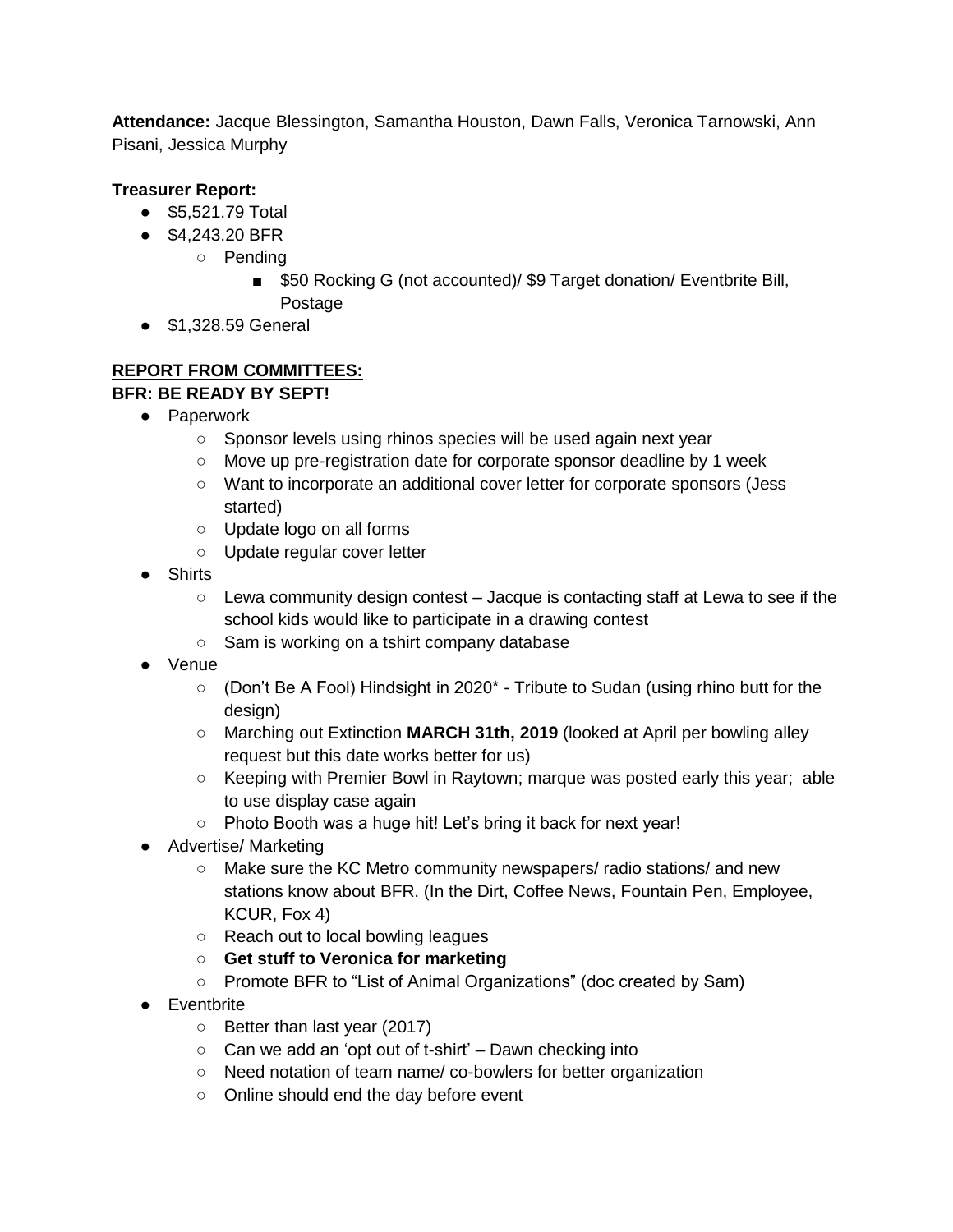**Attendance:** Jacque Blessington, Samantha Houston, Dawn Falls, Veronica Tarnowski, Ann Pisani, Jessica Murphy

## **Treasurer Report:**

- \$5,521.79 Total
- \$4,243.20 BFR
	- Pending
		- \$50 Rocking G (not accounted)/ \$9 Target donation/ Eventbrite Bill, Postage
- \$1,328.59 General

## **REPORT FROM COMMITTEES: BFR: BE READY BY SEPT!**

- Paperwork
	- Sponsor levels using rhinos species will be used again next year
	- Move up pre-registration date for corporate sponsor deadline by 1 week
	- Want to incorporate an additional cover letter for corporate sponsors (Jess started)
	- Update logo on all forms
	- Update regular cover letter
- Shirts
	- Lewa community design contest Jacque is contacting staff at Lewa to see if the school kids would like to participate in a drawing contest
	- Sam is working on a tshirt company database
- Venue
	- (Don't Be A Fool) Hindsight in 2020\* Tribute to Sudan (using rhino butt for the design)
	- Marching out Extinction **MARCH 31th, 2019** (looked at April per bowling alley request but this date works better for us)
	- Keeping with Premier Bowl in Raytown; marque was posted early this year; able to use display case again
	- Photo Booth was a huge hit! Let's bring it back for next year!
- Advertise/ Marketing
	- Make sure the KC Metro community newspapers/ radio stations/ and new stations know about BFR. (In the Dirt, Coffee News, Fountain Pen, Employee, KCUR, Fox 4)
	- Reach out to local bowling leagues
	- **Get stuff to Veronica for marketing**
	- Promote BFR to "List of Animal Organizations" (doc created by Sam)
- Eventbrite
	- Better than last year (2017)
	- $\circ$  Can we add an 'opt out of t-shirt' Dawn checking into
	- Need notation of team name/ co-bowlers for better organization
	- Online should end the day before event